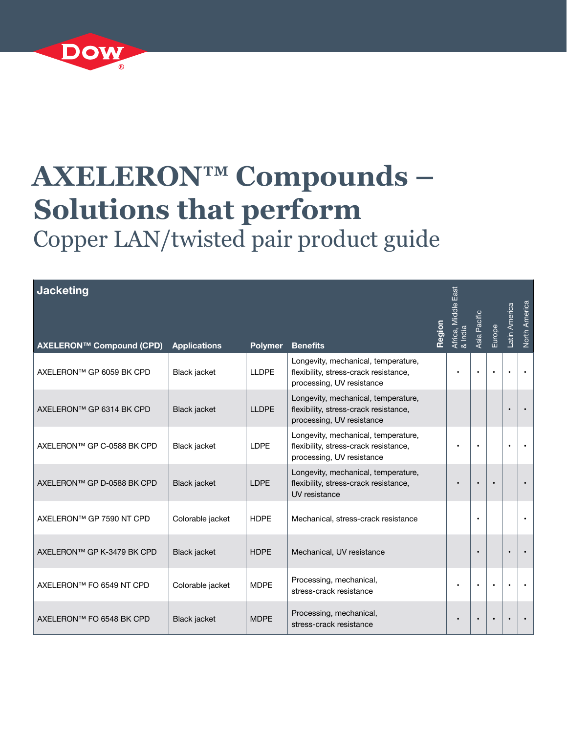

## **AXELERON™ Compounds – Solutions that perform** Copper LAN/twisted pair product guide

| <b>Jacketing</b> |  |  |
|------------------|--|--|
|                  |  |  |
|                  |  |  |

| <b>Jacketing</b>           |                     |                |                                                                                                           | Region | ias<br>⊟a<br>Africa, Middle E<br>& India | Asia Pacific | Europe | Latin America | North America |
|----------------------------|---------------------|----------------|-----------------------------------------------------------------------------------------------------------|--------|------------------------------------------|--------------|--------|---------------|---------------|
| AXELERON™ Compound (CPD)   | <b>Applications</b> | <b>Polymer</b> | <b>Benefits</b>                                                                                           |        |                                          |              |        |               |               |
| AXELERON™ GP 6059 BK CPD   | Black jacket        | <b>LLDPE</b>   | Longevity, mechanical, temperature,<br>flexibility, stress-crack resistance,<br>processing, UV resistance |        |                                          |              |        |               |               |
| AXELERON™ GP 6314 BK CPD   | Black jacket        | <b>LLDPE</b>   | Longevity, mechanical, temperature,<br>flexibility, stress-crack resistance,<br>processing, UV resistance |        |                                          |              |        |               |               |
| AXELERON™ GP C-0588 BK CPD | Black jacket        | <b>LDPE</b>    | Longevity, mechanical, temperature,<br>flexibility, stress-crack resistance,<br>processing, UV resistance |        |                                          | $\bullet$    |        |               |               |
| AXELERON™ GP D-0588 BK CPD | Black jacket        | <b>LDPE</b>    | Longevity, mechanical, temperature,<br>flexibility, stress-crack resistance,<br>UV resistance             |        |                                          |              |        |               |               |
| AXELERON™ GP 7590 NT CPD   | Colorable jacket    | <b>HDPE</b>    | Mechanical, stress-crack resistance                                                                       |        |                                          | $\bullet$    |        |               |               |
| AXELERON™ GP K-3479 BK CPD | Black jacket        | <b>HDPE</b>    | Mechanical, UV resistance                                                                                 |        |                                          |              |        |               |               |
| AXELERON™ FO 6549 NT CPD   | Colorable jacket    | <b>MDPE</b>    | Processing, mechanical,<br>stress-crack resistance                                                        |        | $\bullet$                                | $\bullet$    |        |               |               |
| AXELERON™ FO 6548 BK CPD   | Black jacket        | <b>MDPE</b>    | Processing, mechanical,<br>stress-crack resistance                                                        |        |                                          |              |        |               |               |